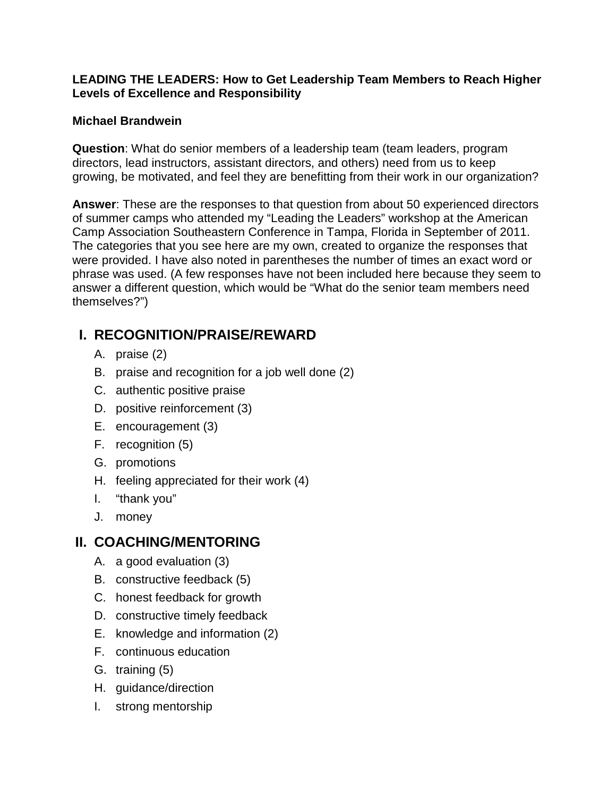#### **LEADING THE LEADERS: How to Get Leadership Team Members to Reach Higher Levels of Excellence and Responsibility**

#### **Michael Brandwein**

**Question**: What do senior members of a leadership team (team leaders, program directors, lead instructors, assistant directors, and others) need from us to keep growing, be motivated, and feel they are benefitting from their work in our organization?

**Answer**: These are the responses to that question from about 50 experienced directors of summer camps who attended my "Leading the Leaders" workshop at the American Camp Association Southeastern Conference in Tampa, Florida in September of 2011. The categories that you see here are my own, created to organize the responses that were provided. I have also noted in parentheses the number of times an exact word or phrase was used. (A few responses have not been included here because they seem to answer a different question, which would be "What do the senior team members need themselves?")

## **I. RECOGNITION/PRAISE/REWARD**

- A. praise (2)
- B. praise and recognition for a job well done (2)
- C. authentic positive praise
- D. positive reinforcement (3)
- E. encouragement (3)
- F. recognition (5)
- G. promotions
- H. feeling appreciated for their work (4)
- I. "thank you"
- J. money

## **II. COACHING/MENTORING**

- A. a good evaluation (3)
- B. constructive feedback (5)
- C. honest feedback for growth
- D. constructive timely feedback
- E. knowledge and information (2)
- F. continuous education
- G. training (5)
- H. guidance/direction
- I. strong mentorship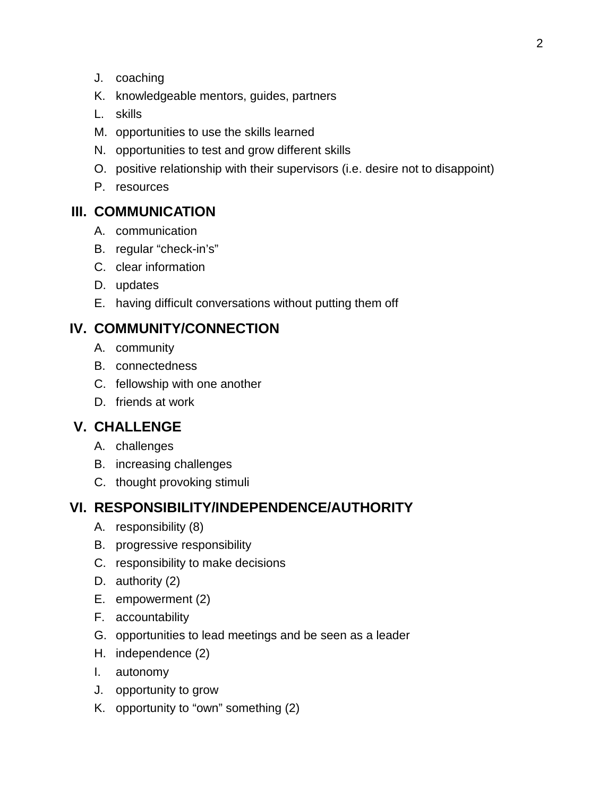- J. coaching
- K. knowledgeable mentors, guides, partners
- L. skills
- M. opportunities to use the skills learned
- N. opportunities to test and grow different skills
- O. positive relationship with their supervisors (i.e. desire not to disappoint)
- P. resources

## **III. COMMUNICATION**

- A. communication
- B. regular "check-in's"
- C. clear information
- D. updates
- E. having difficult conversations without putting them off

## **IV. COMMUNITY/CONNECTION**

- A. community
- B. connectedness
- C. fellowship with one another
- D. friends at work

## **V. CHALLENGE**

- A. challenges
- B. increasing challenges
- C. thought provoking stimuli

## **VI. RESPONSIBILITY/INDEPENDENCE/AUTHORITY**

- A. responsibility (8)
- B. progressive responsibility
- C. responsibility to make decisions
- D. authority (2)
- E. empowerment (2)
- F. accountability
- G. opportunities to lead meetings and be seen as a leader
- H. independence (2)
- I. autonomy
- J. opportunity to grow
- K. opportunity to "own" something (2)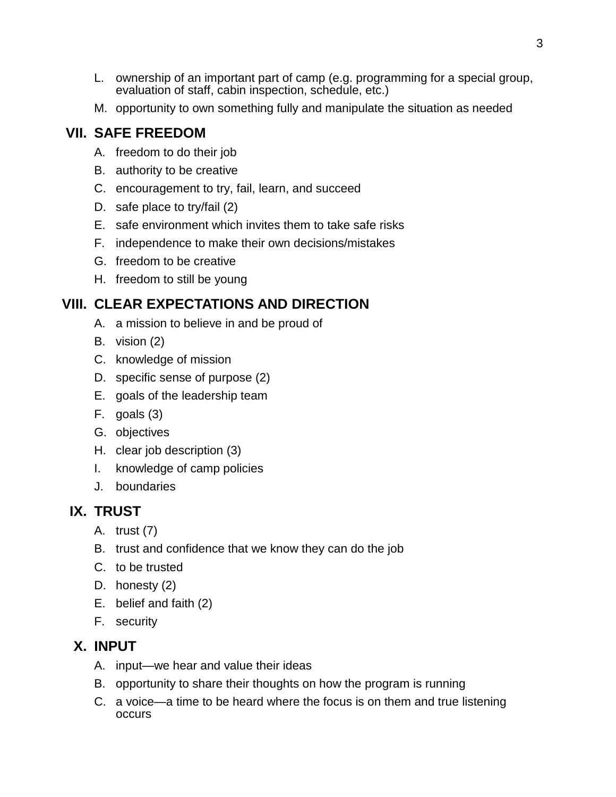- L. ownership of an important part of camp (e.g. programming for a special group, evaluation of staff, cabin inspection, schedule, etc.)
- M. opportunity to own something fully and manipulate the situation as needed

# **VII. SAFE FREEDOM**

- A. freedom to do their job
- B. authority to be creative
- C. encouragement to try, fail, learn, and succeed
- D. safe place to try/fail (2)
- E. safe environment which invites them to take safe risks
- F. independence to make their own decisions/mistakes
- G. freedom to be creative
- H. freedom to still be young

# **VIII. CLEAR EXPECTATIONS AND DIRECTION**

- A. a mission to believe in and be proud of
- B. vision (2)
- C. knowledge of mission
- D. specific sense of purpose (2)
- E. goals of the leadership team
- F. goals (3)
- G. objectives
- H. clear job description (3)
- I. knowledge of camp policies
- J. boundaries

# **IX. TRUST**

- A. trust (7)
- B. trust and confidence that we know they can do the job
- C. to be trusted
- D. honesty (2)
- E. belief and faith (2)
- F. security

# **X. INPUT**

- A. input—we hear and value their ideas
- B. opportunity to share their thoughts on how the program is running
- C. a voice—a time to be heard where the focus is on them and true listening occurs